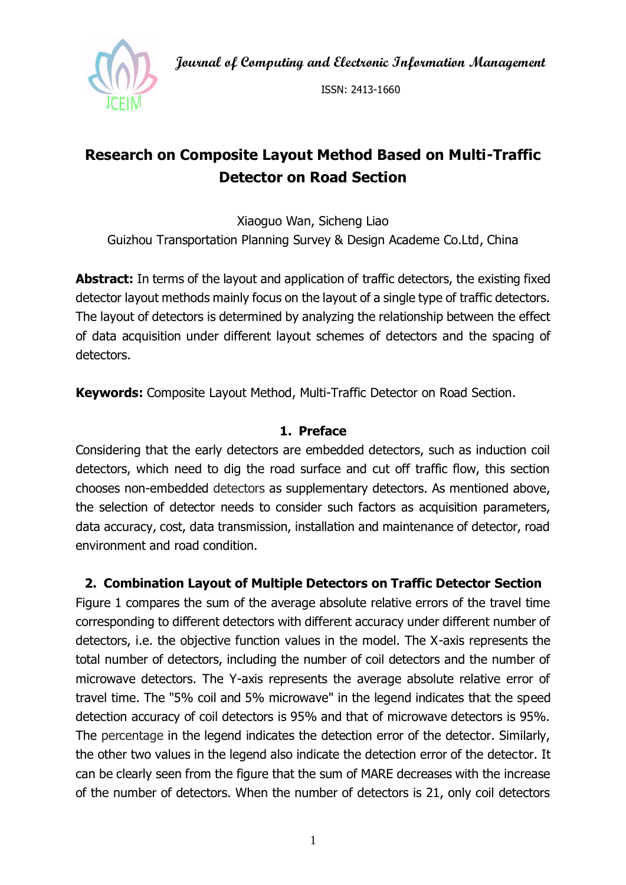**Journal of Computing and Electronic Information Management**



ISSN: 2413-1660

# **Research on Composite Layout Method Based on Multi-Traffic Detector on Road Section**

Xiaoguo Wan, Sicheng Liao Guizhou Transportation Planning Survey & Design Academe Co.Ltd, China

**Abstract:** In terms of the layout and application of traffic detectors, the existing fixed detector layout methods mainly focus on the layout of a single type of traffic detectors. The layout of detectors is determined by analyzing the relationship between the effect of data acquisition under different layout schemes of detectors and the spacing of detectors.

**Keywords:** Composite Layout Method, Multi-Traffic Detector on Road Section.

### **1. Preface**

Considering that the early detectors are embedded detectors, such as induction coil detectors, which need to dig the road surface and cut off traffic flow, this section chooses non-embedded detectors as supplementary detectors. As mentioned above, the selection of detector needs to consider such factors as acquisition parameters, data accuracy, cost, data transmission, installation and maintenance of detector, road environment and road condition.

## **2. Combination Layout of Multiple Detectors on Traffic Detector Section**

Figure 1 compares the sum of the average absolute relative errors of the travel time corresponding to different detectors with different accuracy under different number of detectors, i.e. the objective function values in the model. The X-axis represents the total number of detectors, including the number of coil detectors and the number of microwave detectors. The Y-axis represents the average absolute relative error of travel time. The "5% coil and 5% microwave" in the legend indicates that the speed detection accuracy of coil detectors is 95% and that of microwave detectors is 95%. The percentage in the legend indicates the detection error of the detector. Similarly, the other two values in the legend also indicate the detection error of the detector. It can be clearly seen from the figure that the sum of MARE decreases with the increase of the number of detectors. When the number of detectors is 21, only coil detectors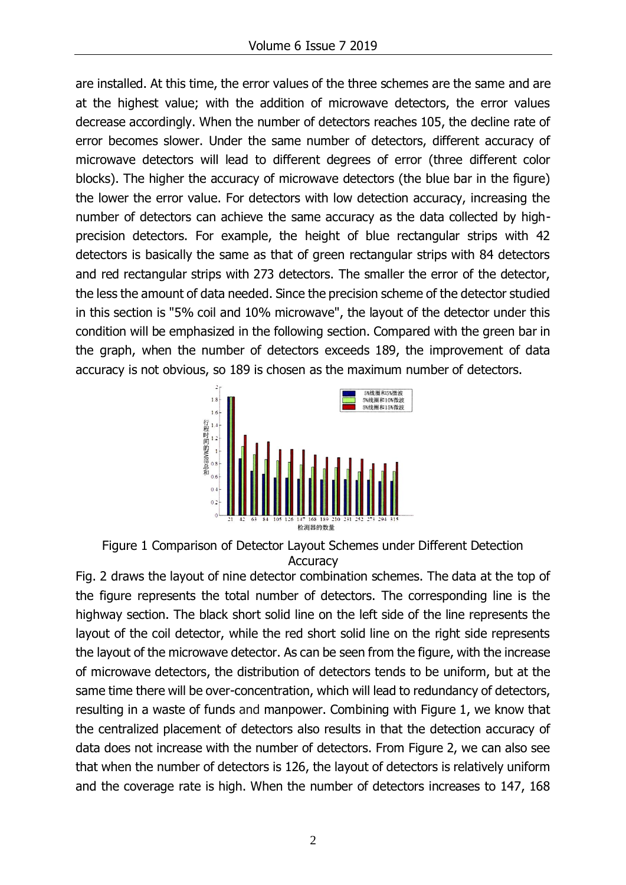are installed. At this time, the error values of the three schemes are the same and are at the highest value; with the addition of microwave detectors, the error values decrease accordingly. When the number of detectors reaches 105, the decline rate of error becomes slower. Under the same number of detectors, different accuracy of microwave detectors will lead to different degrees of error (three different color blocks). The higher the accuracy of microwave detectors (the blue bar in the figure) the lower the error value. For detectors with low detection accuracy, increasing the number of detectors can achieve the same accuracy as the data collected by highprecision detectors. For example, the height of blue rectangular strips with 42 detectors is basically the same as that of green rectangular strips with 84 detectors and red rectangular strips with 273 detectors. The smaller the error of the detector, the less the amount of data needed. Since the precision scheme of the detector studied in this section is "5% coil and 10% microwave", the layout of the detector under this condition will be emphasized in the following section. Compared with the green bar in the graph, when the number of detectors exceeds 189, the improvement of data accuracy is not obvious, so 189 is chosen as the maximum number of detectors.



Figure 1 Comparison of Detector Layout Schemes under Different Detection **Accuracy** 

Fig. 2 draws the layout of nine detector combination schemes. The data at the top of the figure represents the total number of detectors. The corresponding line is the highway section. The black short solid line on the left side of the line represents the layout of the coil detector, while the red short solid line on the right side represents the layout of the microwave detector. As can be seen from the figure, with the increase of microwave detectors, the distribution of detectors tends to be uniform, but at the same time there will be over-concentration, which will lead to redundancy of detectors, resulting in a waste of funds and manpower. Combining with Figure 1, we know that the centralized placement of detectors also results in that the detection accuracy of data does not increase with the number of detectors. From Figure 2, we can also see that when the number of detectors is 126, the layout of detectors is relatively uniform and the coverage rate is high. When the number of detectors increases to 147, 168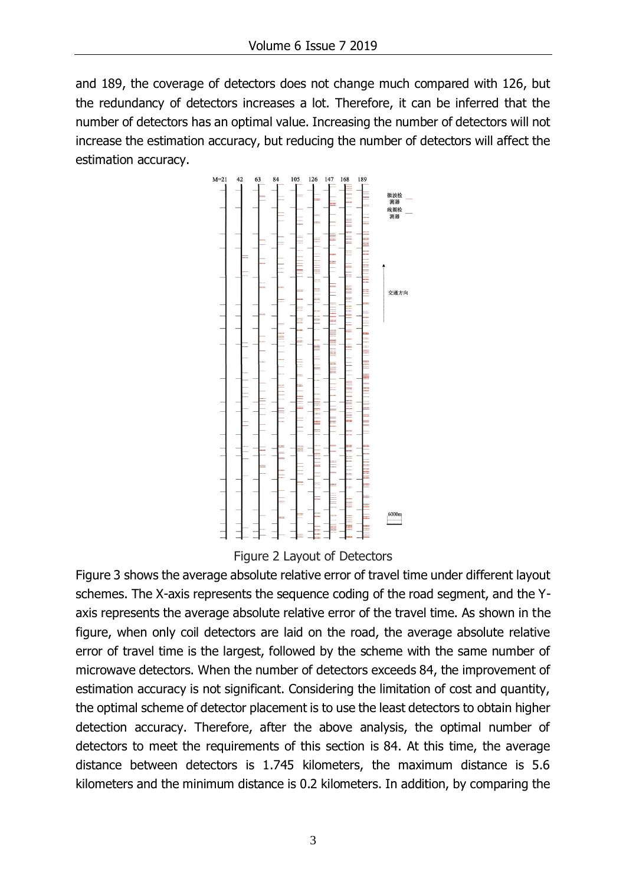and 189, the coverage of detectors does not change much compared with 126, but the redundancy of detectors increases a lot. Therefore, it can be inferred that the number of detectors has an optimal value. Increasing the number of detectors will not increase the estimation accuracy, but reducing the number of detectors will affect the estimation accuracy.



Figure 2 Layout of Detectors

Figure 3 shows the average absolute relative error of travel time under different layout schemes. The X-axis represents the sequence coding of the road segment, and the Yaxis represents the average absolute relative error of the travel time. As shown in the figure, when only coil detectors are laid on the road, the average absolute relative error of travel time is the largest, followed by the scheme with the same number of microwave detectors. When the number of detectors exceeds 84, the improvement of estimation accuracy is not significant. Considering the limitation of cost and quantity, the optimal scheme of detector placement is to use the least detectors to obtain higher detection accuracy. Therefore, after the above analysis, the optimal number of detectors to meet the requirements of this section is 84. At this time, the average distance between detectors is 1.745 kilometers, the maximum distance is 5.6 kilometers and the minimum distance is 0.2 kilometers. In addition, by comparing the